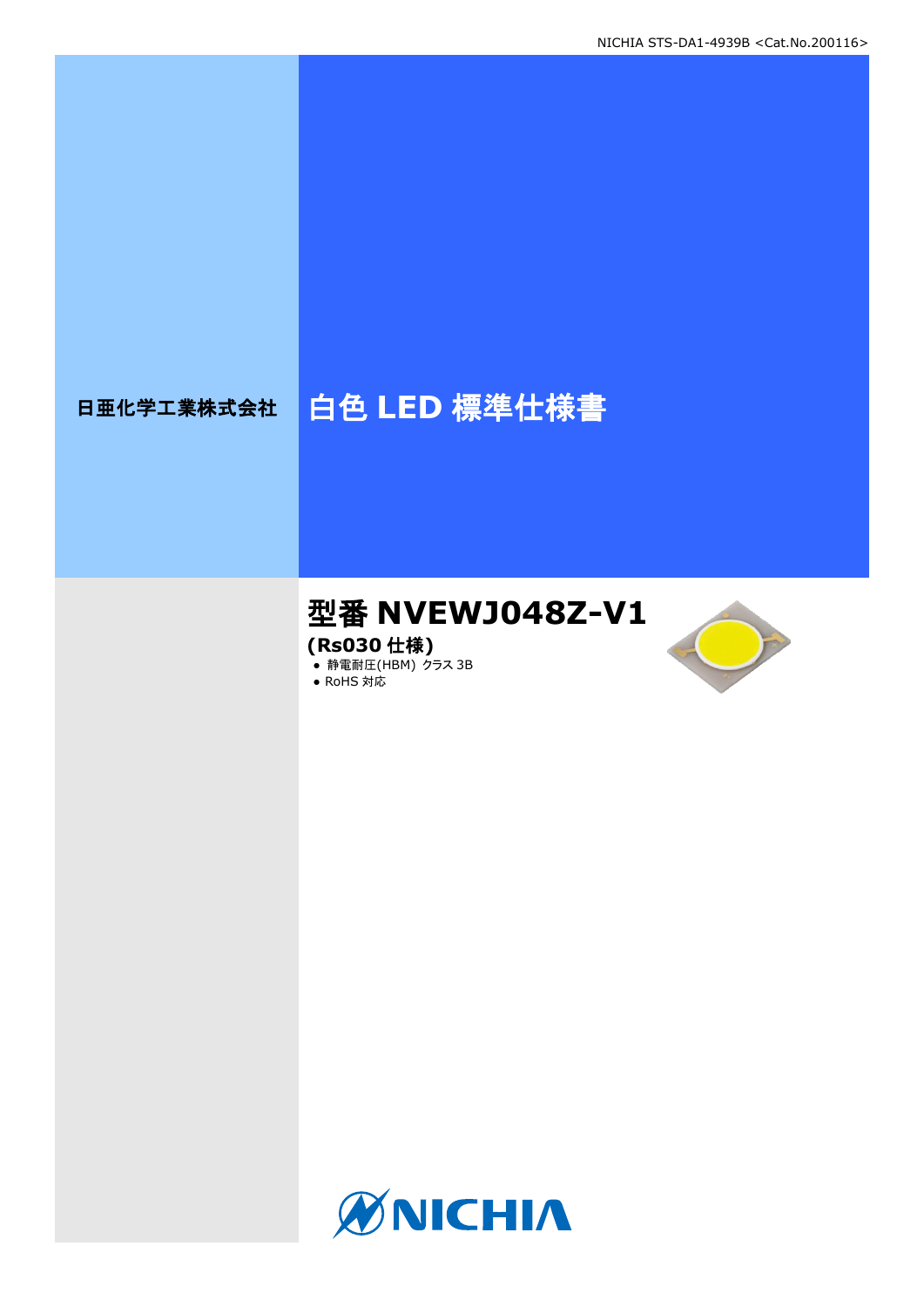## 日亜化学工業株式会社 | 白色 LED 標準仕様書

# 型番 **NVEWJ048Z-V1**

**(Rs030** 仕様**)**

**● 静電耐圧(HBM) クラス 3B** 

● RoHS 対応



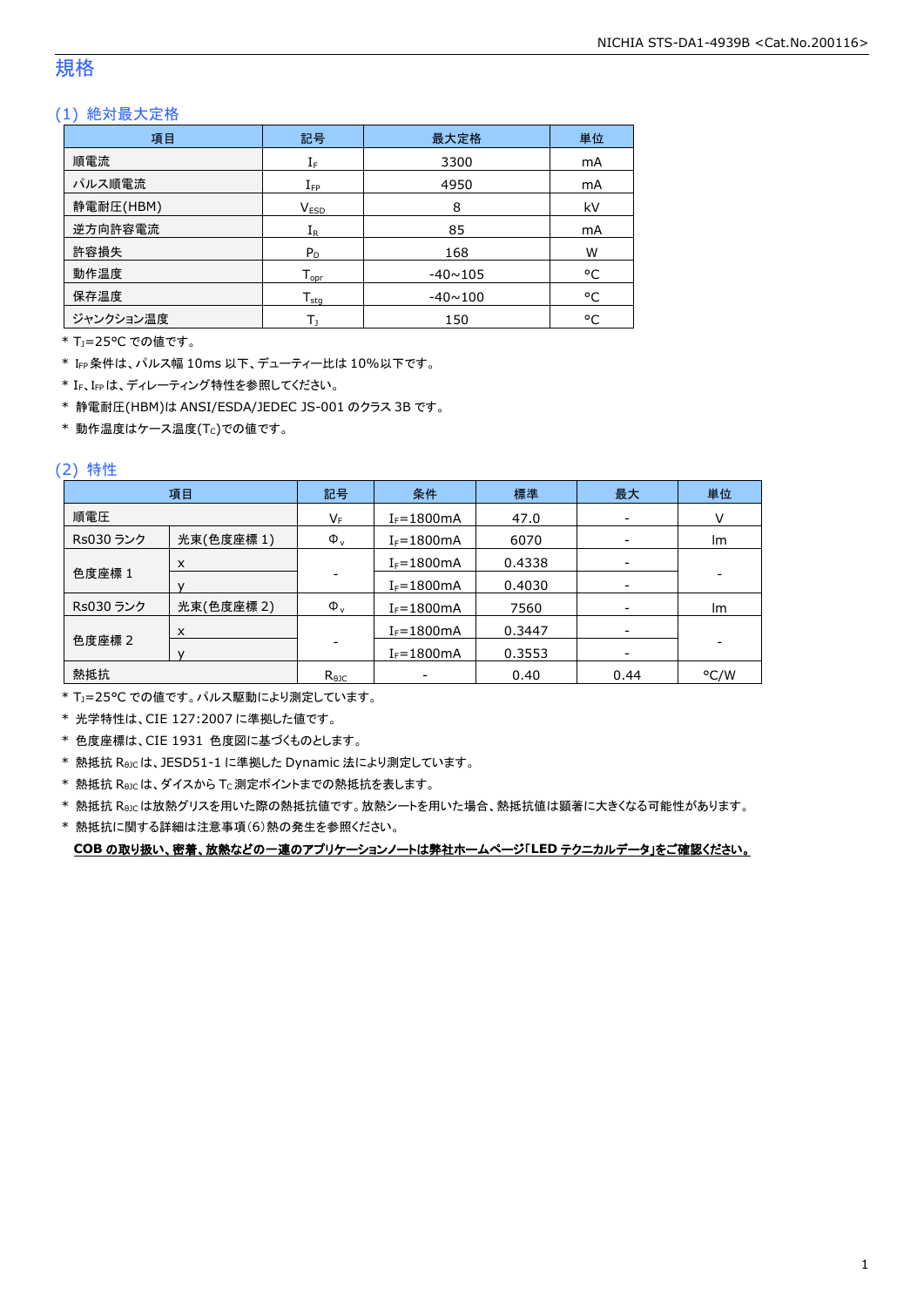### 規格

### (1) 絶対最大定格

| 項目        | 記号                           | 最大定格           | 単位 |
|-----------|------------------------------|----------------|----|
| 順電流       | $\mathrm{I}_\mathrm{F}$      | 3300           | mA |
| パルス順電流    | $I_{\mathsf{FP}}$            | 4950           | mA |
| 静電耐圧(HBM) | V <sub>ESD</sub>             | 8              | kV |
| 逆方向許容電流   | $I_{R}$                      | 85             | mA |
| 許容損失      | $P_D$                        | 168            | W  |
| 動作温度      | ${\mathsf T}_{\textsf{opr}}$ | $-40 \sim 105$ | °C |
| 保存温度      | ${\mathsf T}_{\textsf{stq}}$ | $-40 \sim 100$ | °C |
| ジャンクション温度 |                              | 150            | °C |

\* TJ=25°C での値です。

\* IFP条件は、パルス幅 10ms 以下、デューティー比は 10%以下です。

\* IF、IFPは、ディレーティング特性を参照してください。

\* 静電耐圧(HBM)は ANSI/ESDA/JEDEC JS-001 のクラス 3B です。

 $*$ 動作温度はケース温度(Tc)での値です。

### (2) 特性

|           | 項目         | 記号             | 条件             | 標準     | 最大                       | 単位   |
|-----------|------------|----------------|----------------|--------|--------------------------|------|
| 順電圧       |            | VF             | $I_F = 1800mA$ | 47.0   | $\overline{\phantom{a}}$ |      |
| Rs030 ランク | 光束(色度座標1)  | $\Phi_{\rm v}$ | $I_F = 1800mA$ | 6070   |                          | Im   |
|           | X          |                | $I_F = 1800mA$ | 0.4338 |                          |      |
| 色度座標 1    |            |                | $I_F = 1800mA$ | 0.4030 |                          |      |
| Rs030 ランク | 光束(色度座標 2) | $\Phi_{\rm v}$ | $I_F = 1800mA$ | 7560   |                          | Im   |
|           | X          |                | $I_F = 1800mA$ | 0.3447 | $\overline{\phantom{a}}$ |      |
| 色度座標 2    |            |                | $I_F = 1800mA$ | 0.3553 | ۰                        |      |
| 熱抵抗       |            | $R_{\theta$ JC |                | 0.40   | 0.44                     | °C/W |

\* TJ=25°C での値です。パルス駆動により測定しています。

\* 光学特性は、CIE 127:2007 に準拠した値です。

\* 色度座標は、CIE 1931 色度図に基づくものとします。

\* 熱抵抗 RθJCは、JESD51-1 に準拠した Dynamic 法により測定しています。

 $*$  熱抵抗  $R_{\theta JC}$ は、ダイスから Tc 測定ポイントまでの熱抵抗を表します。

\* 熱抵抗 RθJCは放熱グリスを用いた際の熱抵抗値です。放熱シートを用いた場合、熱抵抗値は顕著に大きくなる可能性があります。

\* 熱抵抗に関する詳細は注意事項(6)熱の発生を参照ください。

**COB** の取り扱い、密着、放熱などの一連のアプリケーションノートは弊社ホームページ「**LED** テクニカルデータ」をご確認ください。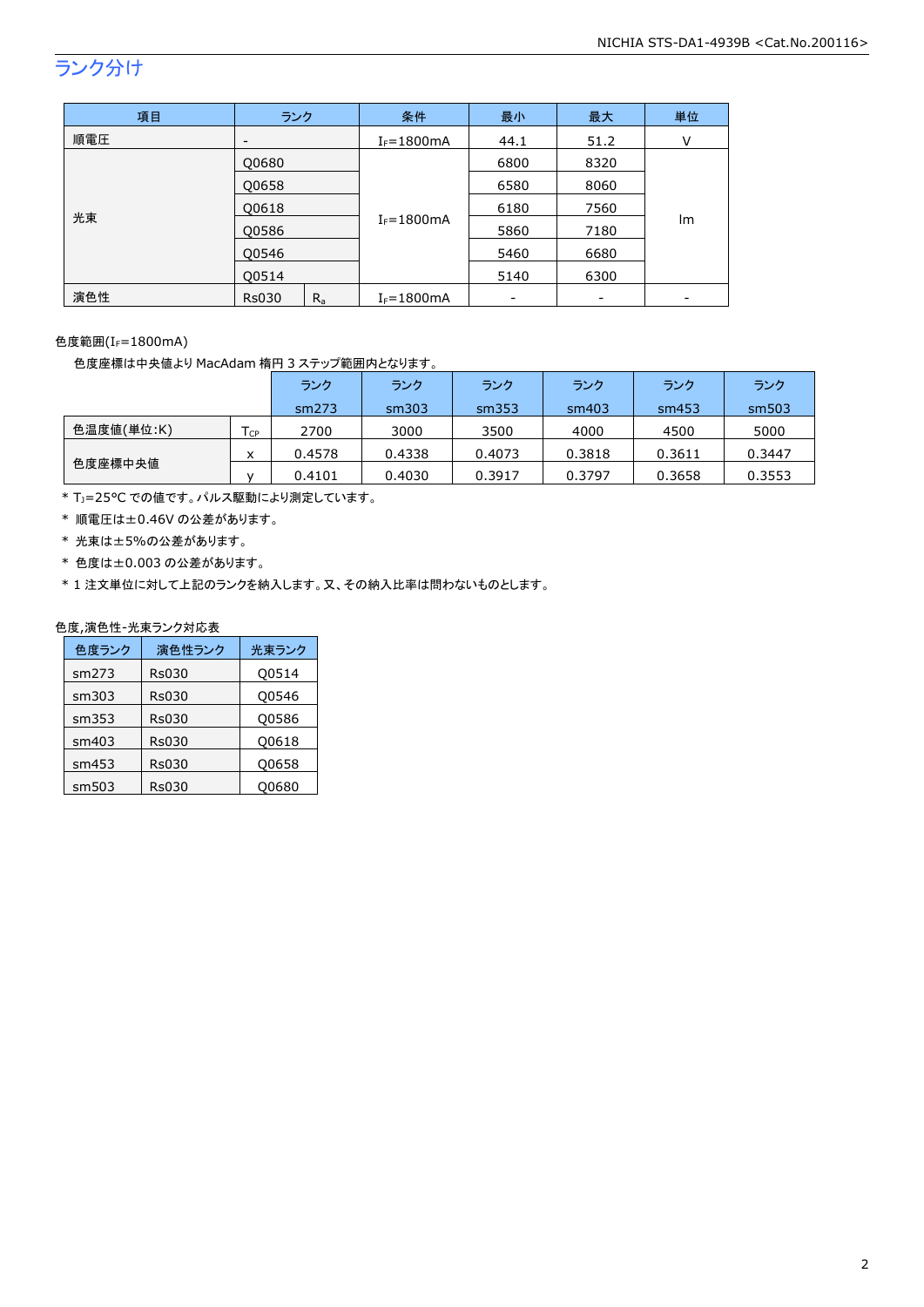## ランク分け

| 項目  | ランク                      |         | 条件             | 最小                       | 最大             | 単位   |      |   |
|-----|--------------------------|---------|----------------|--------------------------|----------------|------|------|---|
| 順電圧 | $\overline{\phantom{a}}$ |         |                |                          | $I_F = 1800mA$ | 44.1 | 51.2 | ٧ |
| 光束  | Q0680                    |         |                | 6800                     | 8320           |      |      |   |
|     | Q0658                    |         |                | 6580                     | 8060           |      |      |   |
|     | Q0618                    |         | $I_F = 1800mA$ | 6180                     | 7560           |      |      |   |
|     | Q0586                    |         |                | 5860                     | 7180           | Im   |      |   |
|     | O0546<br>Q0514           |         |                | 5460                     | 6680           |      |      |   |
|     |                          |         |                | 5140                     | 6300           |      |      |   |
| 演色性 | <b>Rs030</b>             | $R_{a}$ | $I_F = 1800mA$ | $\overline{\phantom{0}}$ |                |      |      |   |

### 色度範囲(I<sub>F</sub>=1800mA)

色度座標は中央値より MacAdam 楕円 3 ステップ範囲内となります。

|            |                            | ランク    | ランク    | ランク    | ランク    | ランク    | ランク    |
|------------|----------------------------|--------|--------|--------|--------|--------|--------|
|            |                            | sm273  | sm303  | sm353  | sm403  | sm453  | sm503  |
| 色温度値(単位:K) | $\mathsf{T}_{\mathsf{CP}}$ | 2700   | 3000   | 3500   | 4000   | 4500   | 5000   |
|            | x                          | 0.4578 | 0.4338 | 0.4073 | 0.3818 | 0.3611 | 0.3447 |
| 色度座標中央値    |                            | 0.4101 | 0.4030 | 0.3917 | 0.3797 | 0.3658 | 0.3553 |

\* TJ=25°C での値です。パルス駆動により測定しています。

\* 順電圧は±0.46V の公差があります。

- \* 光束は±5%の公差があります。
- \* 色度は±0.003 の公差があります。

\* 1 注文単位に対して上記のランクを納入します。又、その納入比率は問わないものとします。

### 色度,演色性-光束ランク対応表

| 色度ランク | 演色性ランク       | 光束ランク |
|-------|--------------|-------|
| sm273 | <b>Rs030</b> | Q0514 |
| sm303 | <b>Rs030</b> | Q0546 |
| sm353 | <b>Rs030</b> | Q0586 |
| sm403 | <b>Rs030</b> | 00618 |
| sm453 | <b>Rs030</b> | Q0658 |
| sm503 | Rs030        | 00680 |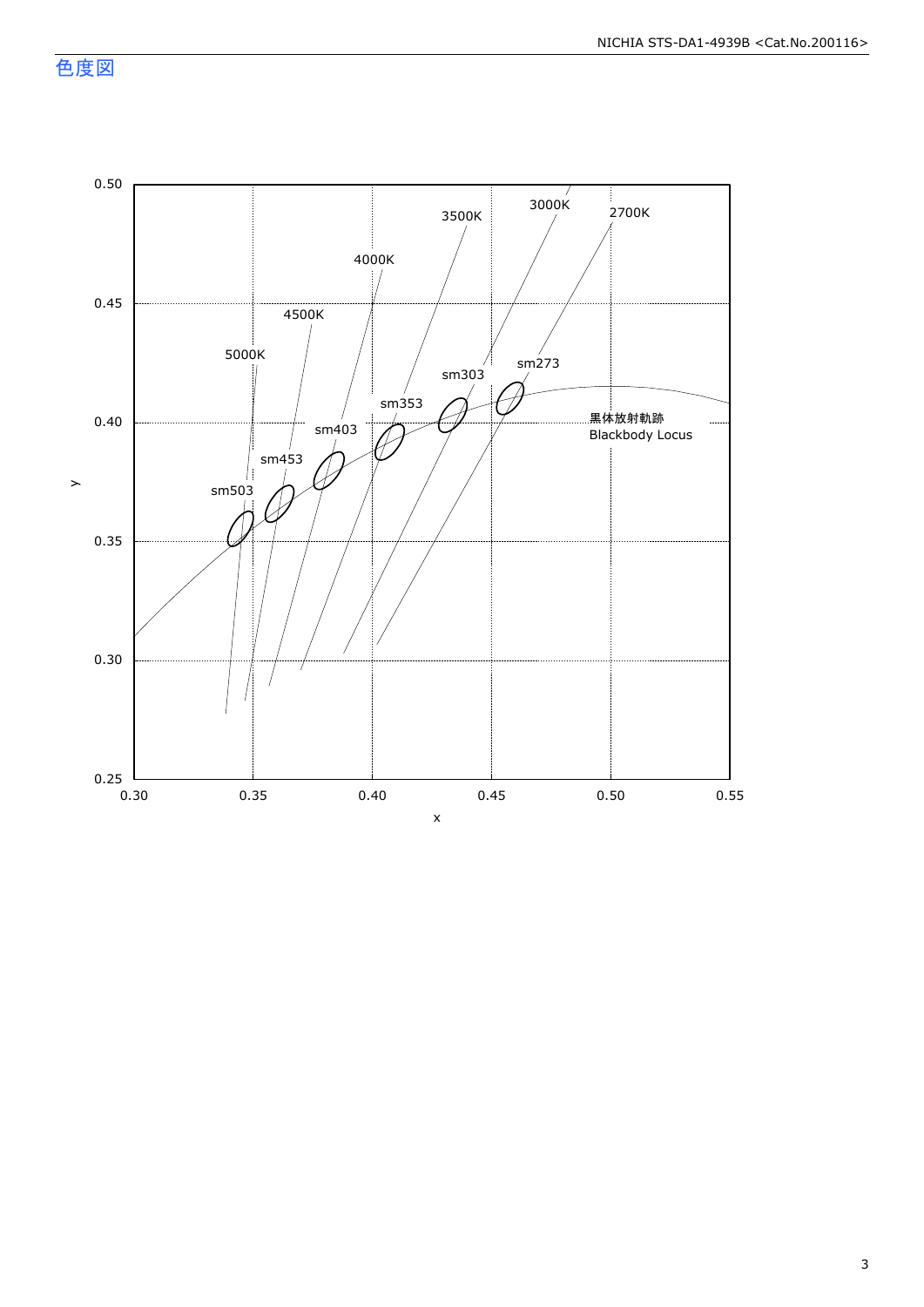色度図

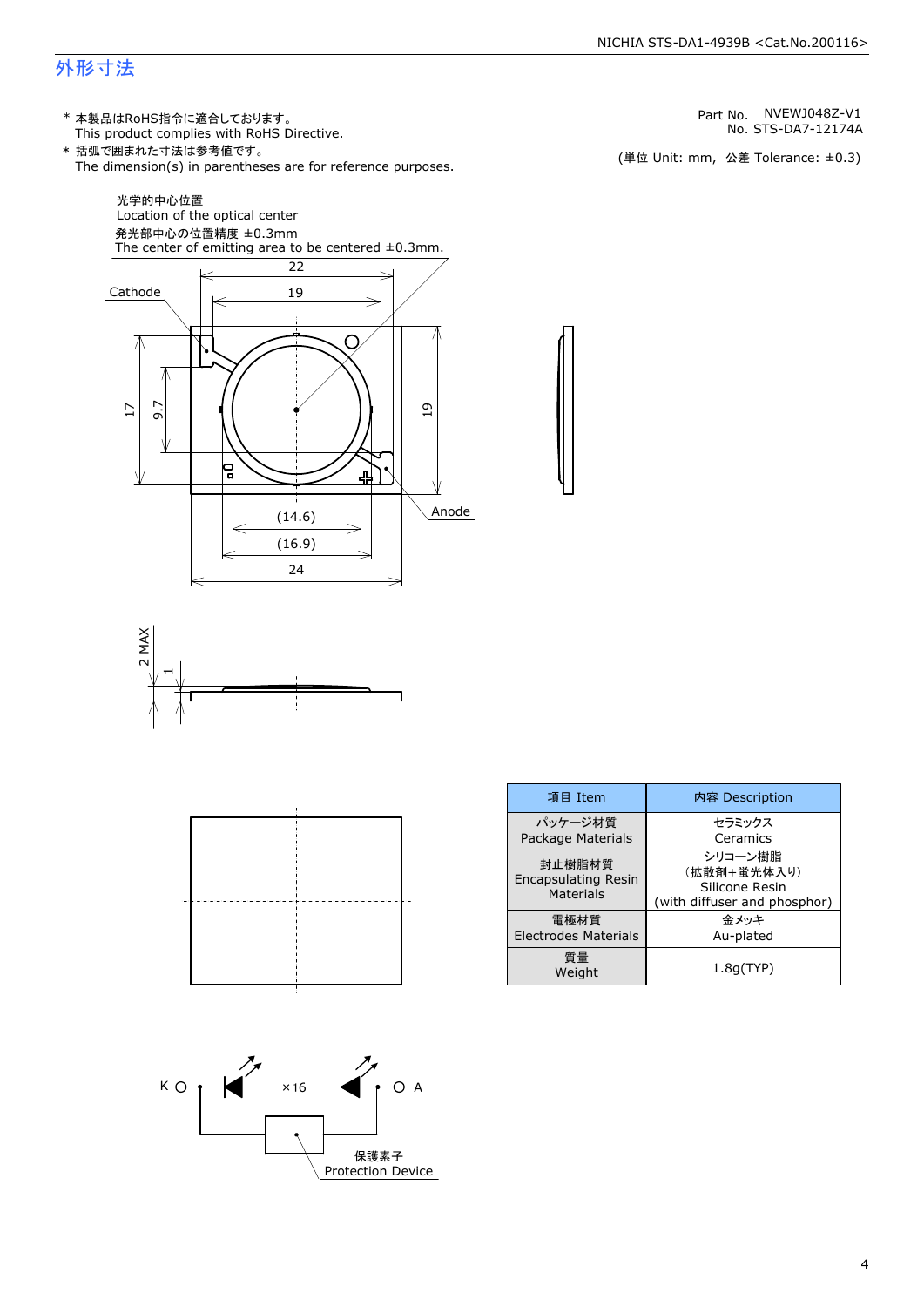### 外形寸法

(単位 Unit: mm) This product complies with RoHS Directive. \* 本製品はRoHS指令に適合しております。 (単位 Unit: mm, 公差 Tolerance: ±0.3) STS-DA7-12174A NVEWJ048Z-V1 The dimension(s) in parentheses are for reference purposes. \* 括弧で囲まれた寸法は参考値です。 No. Part No.







| 項目 Item                                                  | 内容 Description                                                           |  |  |
|----------------------------------------------------------|--------------------------------------------------------------------------|--|--|
| パッケージ材質<br>Package Materials                             | セラミックス<br>Ceramics                                                       |  |  |
| 封止樹脂材質<br><b>Encapsulating Resin</b><br><b>Materials</b> | シリコーン樹脂<br>(拡散剤+蛍光体入り)<br>Silicone Resin<br>(with diffuser and phosphor) |  |  |
| 電極材質<br><b>Electrodes Materials</b>                      | 金メッキ<br>Au-plated                                                        |  |  |
| 質量<br>Weight                                             | 1.8q(TYP)                                                                |  |  |

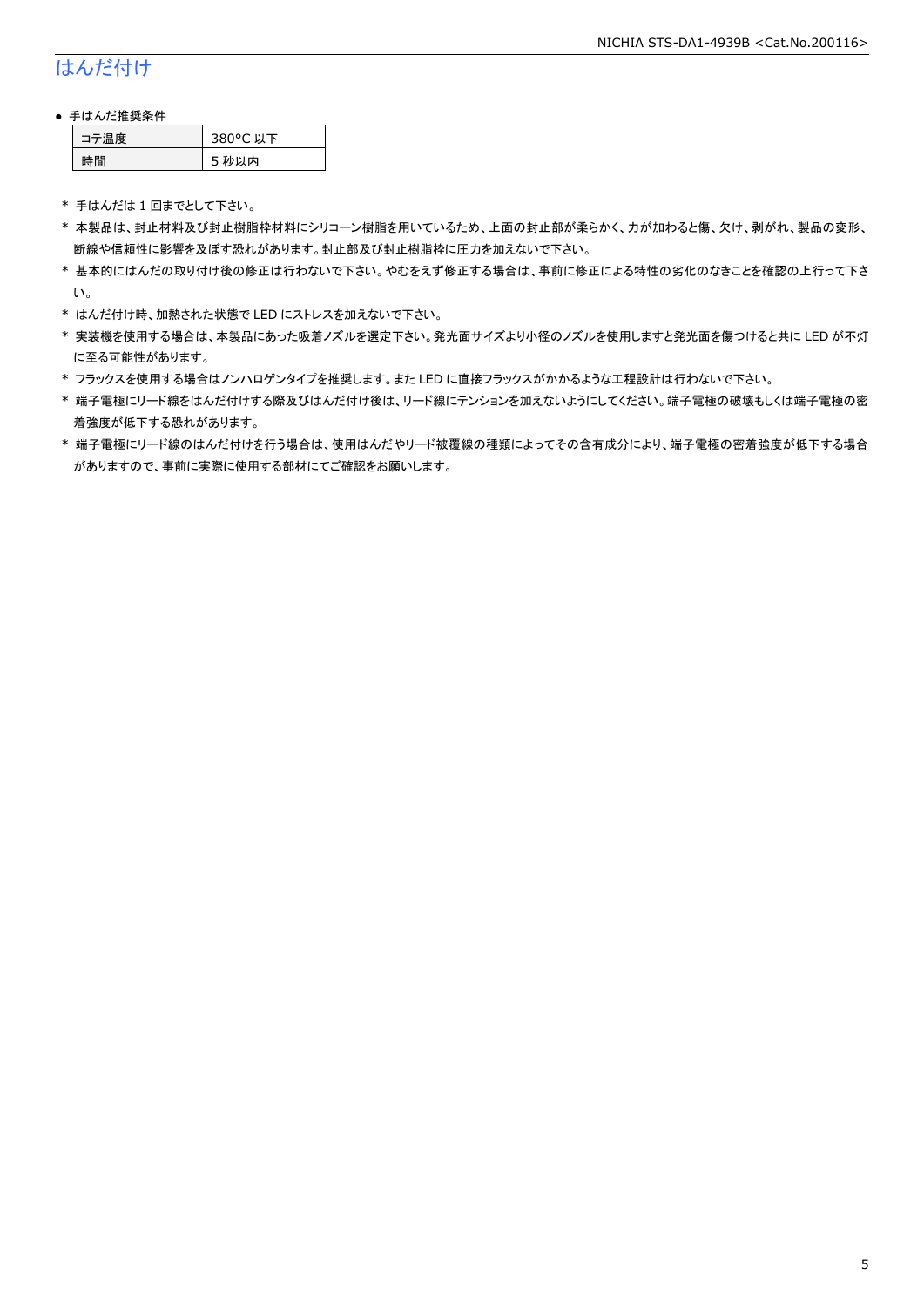### はんだ付け

### ● 手はんだ推奨条件

| →"烏庫」 | 380°C 以下 |
|-------|----------|
| .間    | 5 秒以内    |

\* 手はんだは 1 回までとして下さい。

- \* 本製品は、封止材料及び封止樹脂枠材料にシリコーン樹脂を用いているため、上面の封止部が柔らかく、力が加わると傷、欠け、剥がれ、製品の変形、 断線や信頼性に影響を及ぼす恐れがあります。封止部及び封止樹脂枠に圧力を加えないで下さい。
- \* 基本的にはんだの取り付け後の修正は行わないで下さい。やむをえず修正する場合は、事前に修正による特性の劣化のなきことを確認の上行って下さ い。
- \* はんだ付け時、加熱された状態で LED にストレスを加えないで下さい。
- \* 実装機を使用する場合は、本製品にあった吸着ノズルを選定下さい。発光面サイズより小径のノズルを使用しますと発光面を傷つけると共に LED が不灯 に至る可能性があります。
- \* フラックスを使用する場合はノンハロゲンタイプを推奨します。また LED に直接フラックスがかかるような工程設計は行わないで下さい。
- \* 端子電極にリード線をはんだ付けする際及びはんだ付け後は、リード線にテンションを加えないようにしてください。端子電極の破壊もしくは端子電極の密 着強度が低下する恐れがあります。
- \* 端子電極にリード線のはんだ付けを行う場合は、使用はんだやリード被覆線の種類によってその含有成分により、端子電極の密着強度が低下する場合 がありますので、事前に実際に使用する部材にてご確認をお願いします。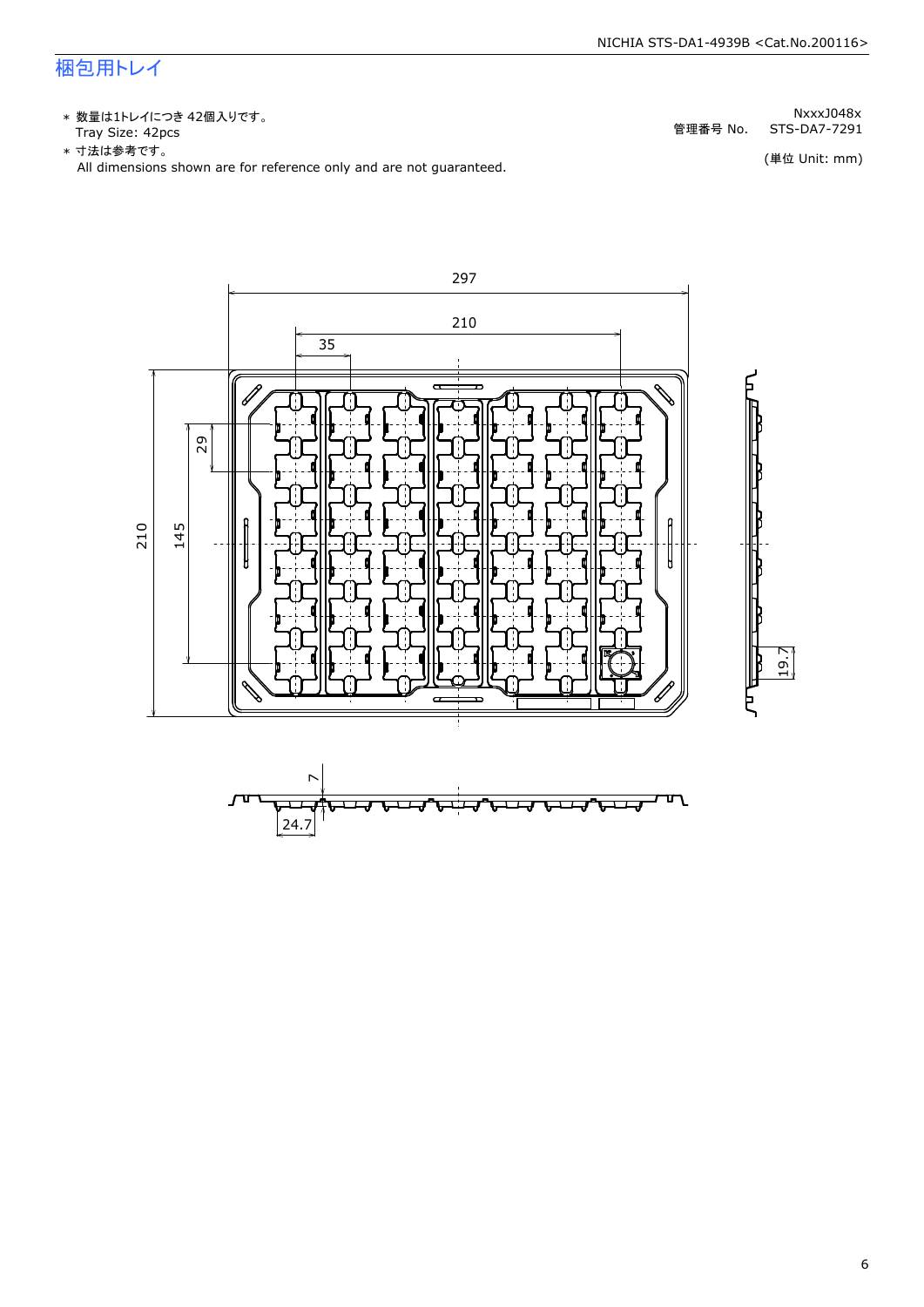### 梱包用トレイ

\* 数量は1トレイにつき 42個入りです。<br>Tray Size: 42pcs

\* 数量は1トレイにつき 42個入りです。<br>Tray Size: 42pcs<br>\* 寸法は参考です。<br>All dimensions shown are for reference only and are not guaranteed. \* づ法は参考です。

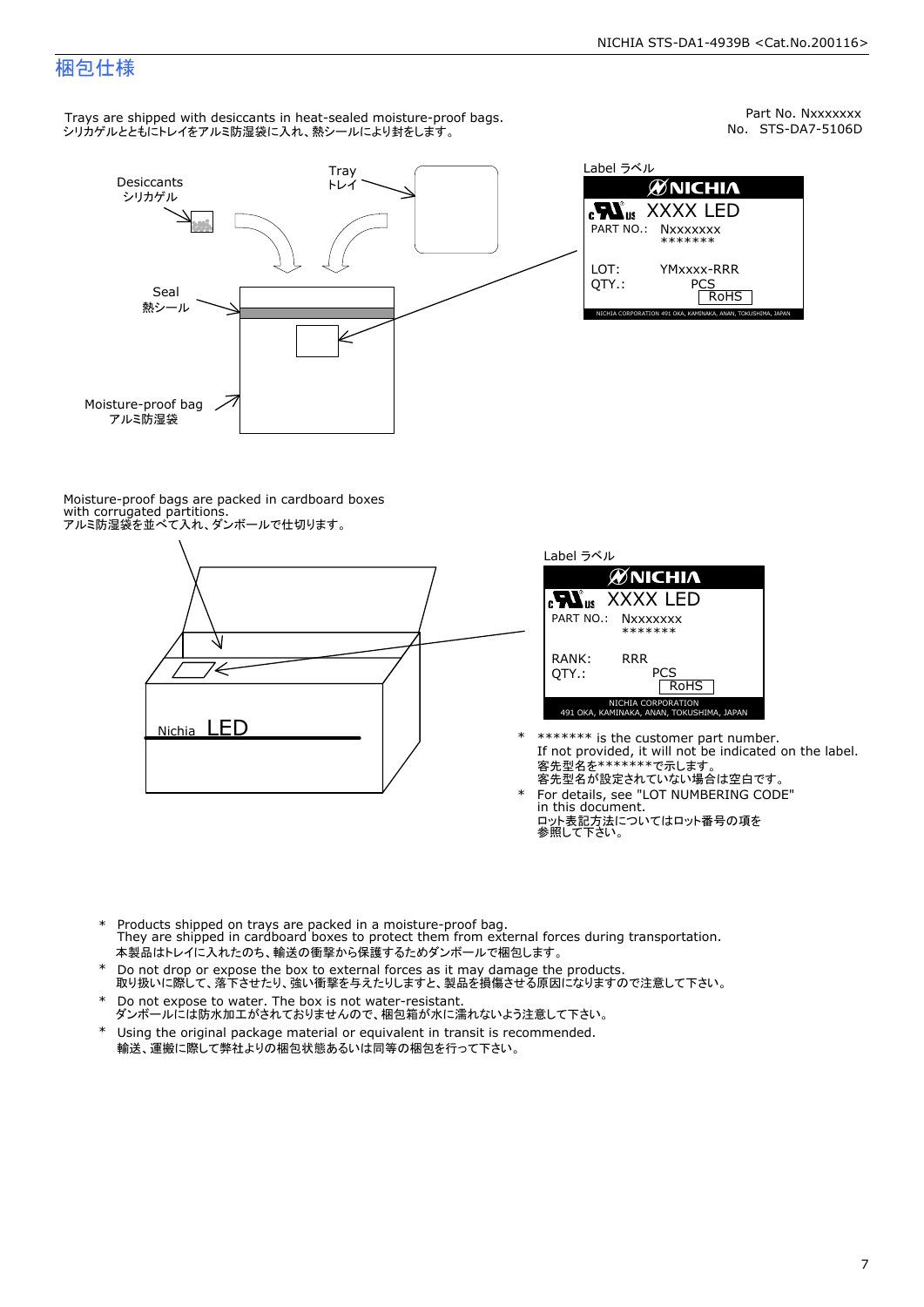Part No. Nxxxxxxx<br>No. STS-DA7-5106D

### 梱包仕様

Trays are shipped with desiccants in heat-sealed moisture-proof bags. シリカゲルとともにトレイをアルミ防湿袋に入れ、熱シールにより封をします。



Label ラベル  $\mathscr{U}$ NICHIA  $\begin{array}{lll} \text{cN}_{\text{us}} & \text{XXXX} & \text{LED} \\ \text{part no.:} & \text{Nxxxxxxx} \\ \text{LOT:} & \text{YMxxxx-RRR} \\ \text{QTY.:} & & \text{PCS} \\ \hline \text{ROHS} & & \text{ROHS} \end{array}$ NICHIA CORPORATION <sup>491</sup> OKA, KAMINAKA, ANAN, TOKUSHIMA, JAPAN LOT: QTY.: YMxxxx-RRR PCS PART NO.:

Moisture-proof bags are packed in cardboard boxes with corrugated partitions. アルミ防湿袋を並べて入れ、ダンボールで仕切ります。





- \* \*\*\*\*\*\*\* is the customer part number.<br>If not provided, it will not be indicated on the label.<br>客先型名が設定されていない場合は空白です。
- For details, see "LOT NUMBERING CODE"<br>in this document.<br>ロット表記方法についてはロット番号の項を<br>参照して下さい。
- \* Products shipped on trays are packed in a moisture-proof bag.<br>They are shipped in cardboard boxes to protect them from external forces during transportation.<br>本製品はトレイに入れたのち、輸送の衝撃から保護するためダンボールで梱包します。<br>\* Do not drop or exp 本製品はトレイに入れたのち、輸送の衝撃から保護するためダンボールで梱包します。
- Do not drop or expose the box to external forces as it may damage the products. \*
- 取り扱いに際して、落下させたり、強い衝撃を与えたりしますと、製品を損傷させる原因になりますので注意して下さい。 Do not expose to water. The box is not water-resistant. \*
- ダンボールには防水加工がされておりませんので、梱包箱が水に濡れないよう注意して下さい。 \*
- 輸送、運搬に際して弊社よりの梱包状態あるいは同等の梱包を行って下さい。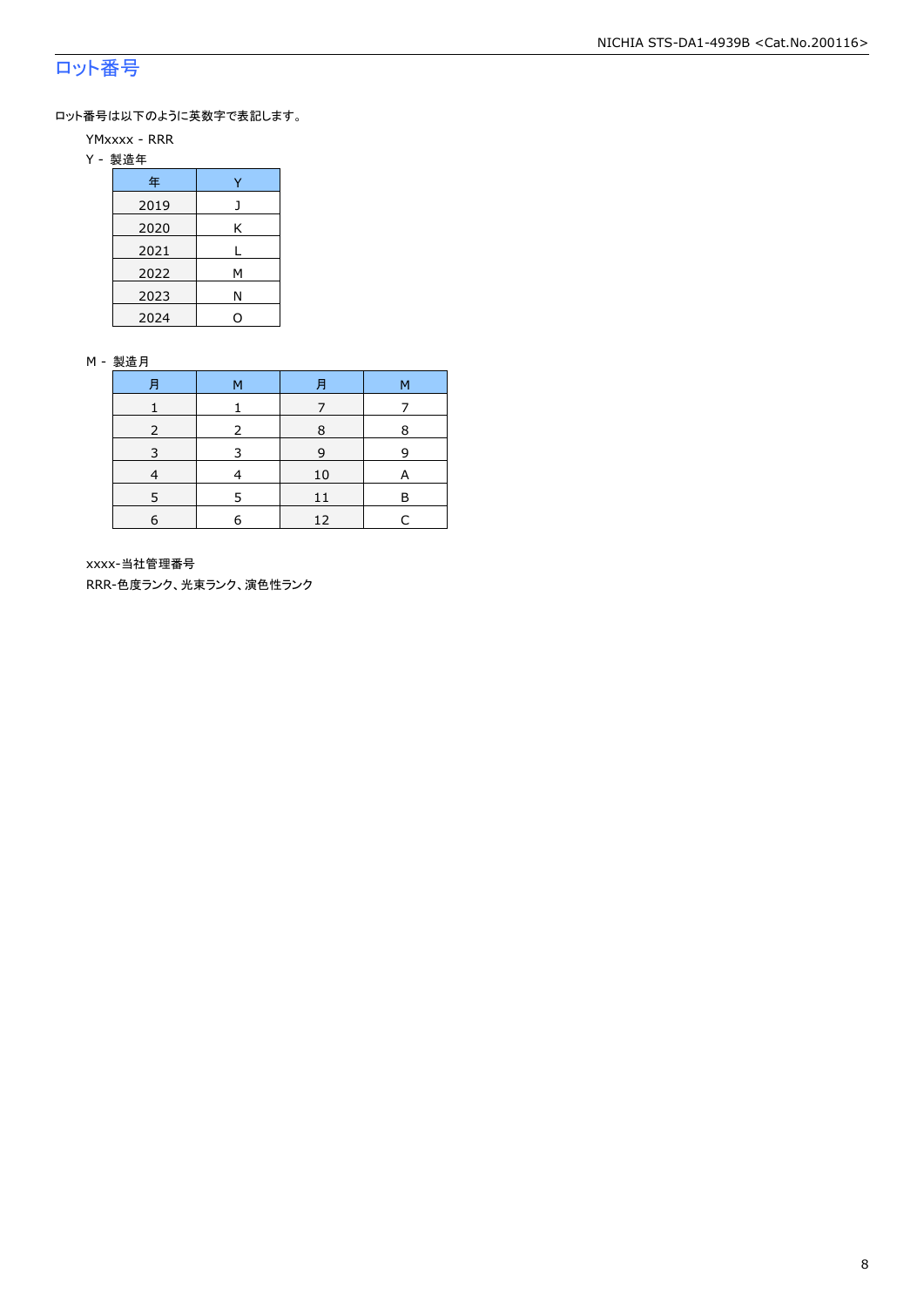### ロット番号

ロット番号は以下のように英数字で表記します。

- YMxxxx RRR
- Y 製造年

| 年    |   |  |  |  |
|------|---|--|--|--|
| 2019 |   |  |  |  |
| 2020 | Κ |  |  |  |
| 2021 |   |  |  |  |
| 2022 | м |  |  |  |
| 2023 | Ν |  |  |  |
| 2024 |   |  |  |  |

#### M - 製造月

| 月 | м | 月  | М |
|---|---|----|---|
|   |   |    |   |
|   |   | 8  | 8 |
|   |   | 9  | q |
|   |   | 10 | A |
|   |   |    | F |
| 6 | F | 12 |   |

xxxx-当社管理番号

RRR-色度ランク、光束ランク、演色性ランク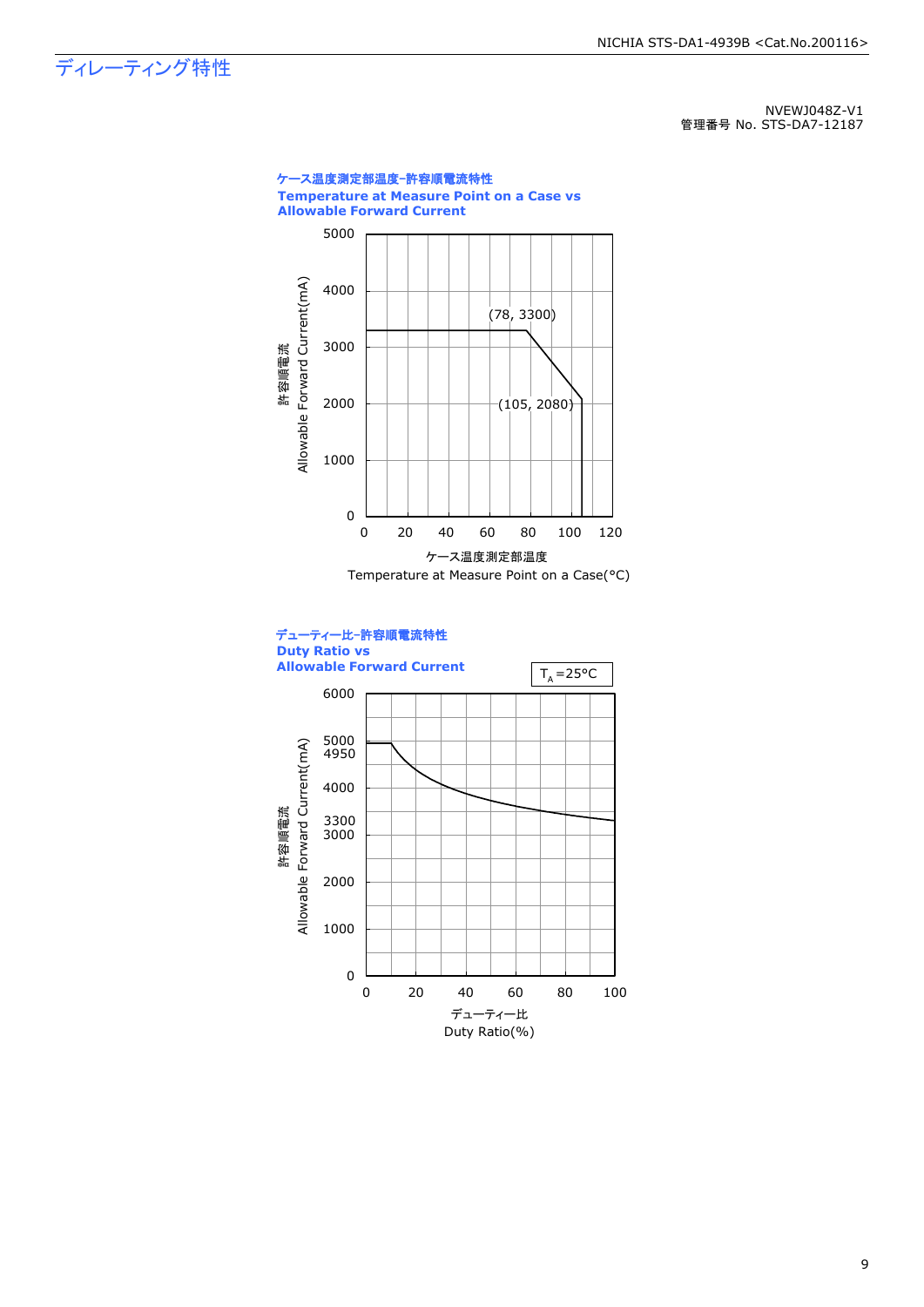### ディレーティング特性

NVEWJ048Z-V1 管理番号 No. STS-DA7-12187



9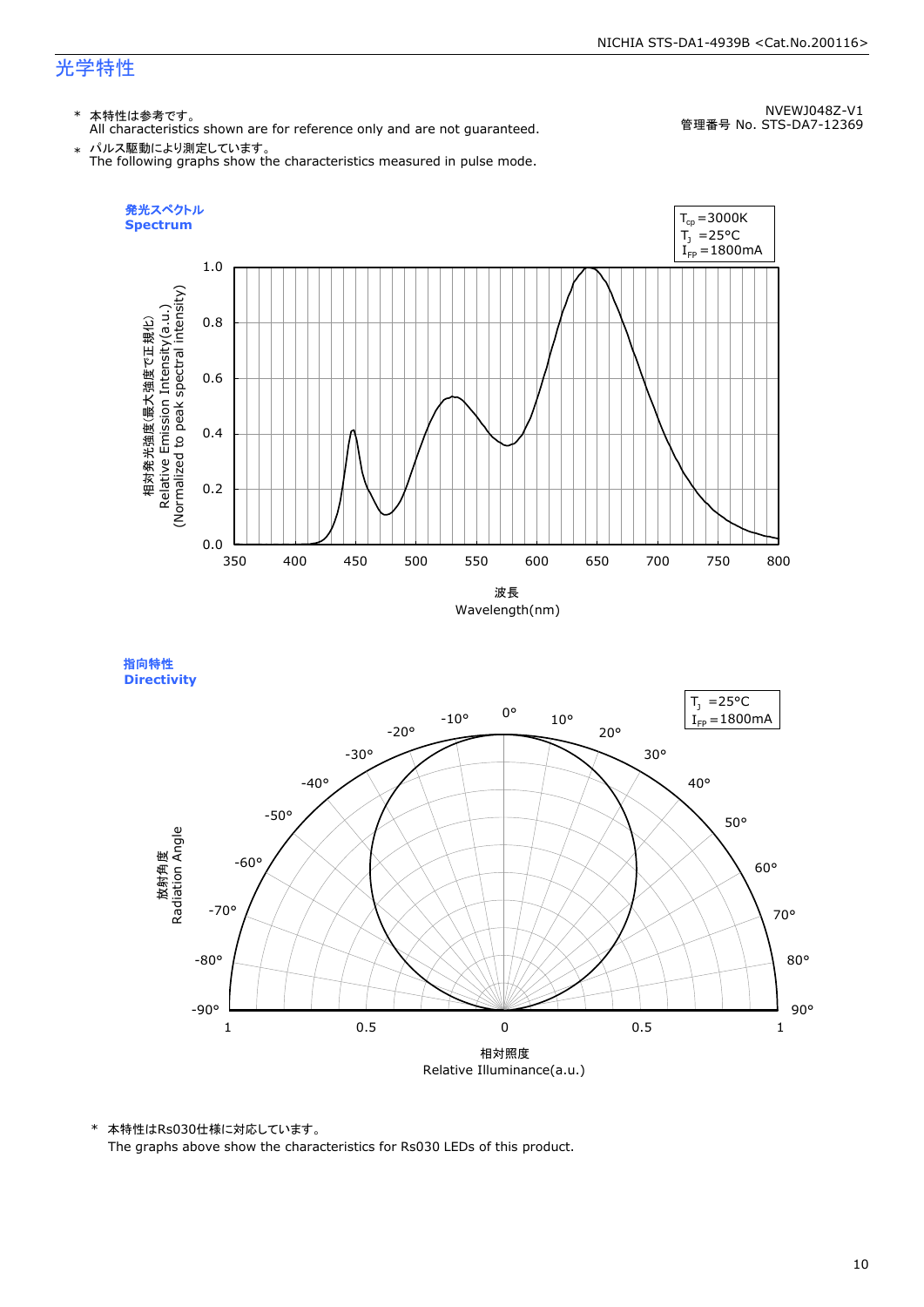#### NICHIA STS-DA1-4939B <Cat.No.200116>

### 光学特性

### \* 本特性は参考です。

All characteristics shown are for reference only and are not guaranteed.

NVEWJ048Z-V1 管理番号 No. STS-DA7-12369

 $\;\ast\;$  パルス駆動により測定しています。<br>The following graphs show the characteristics measured in pulse mode.



指向特性 **Directivity** 



\* 本特性はRs030仕様に対応しています。

The graphs above show the characteristics for Rs030 LEDs of this product.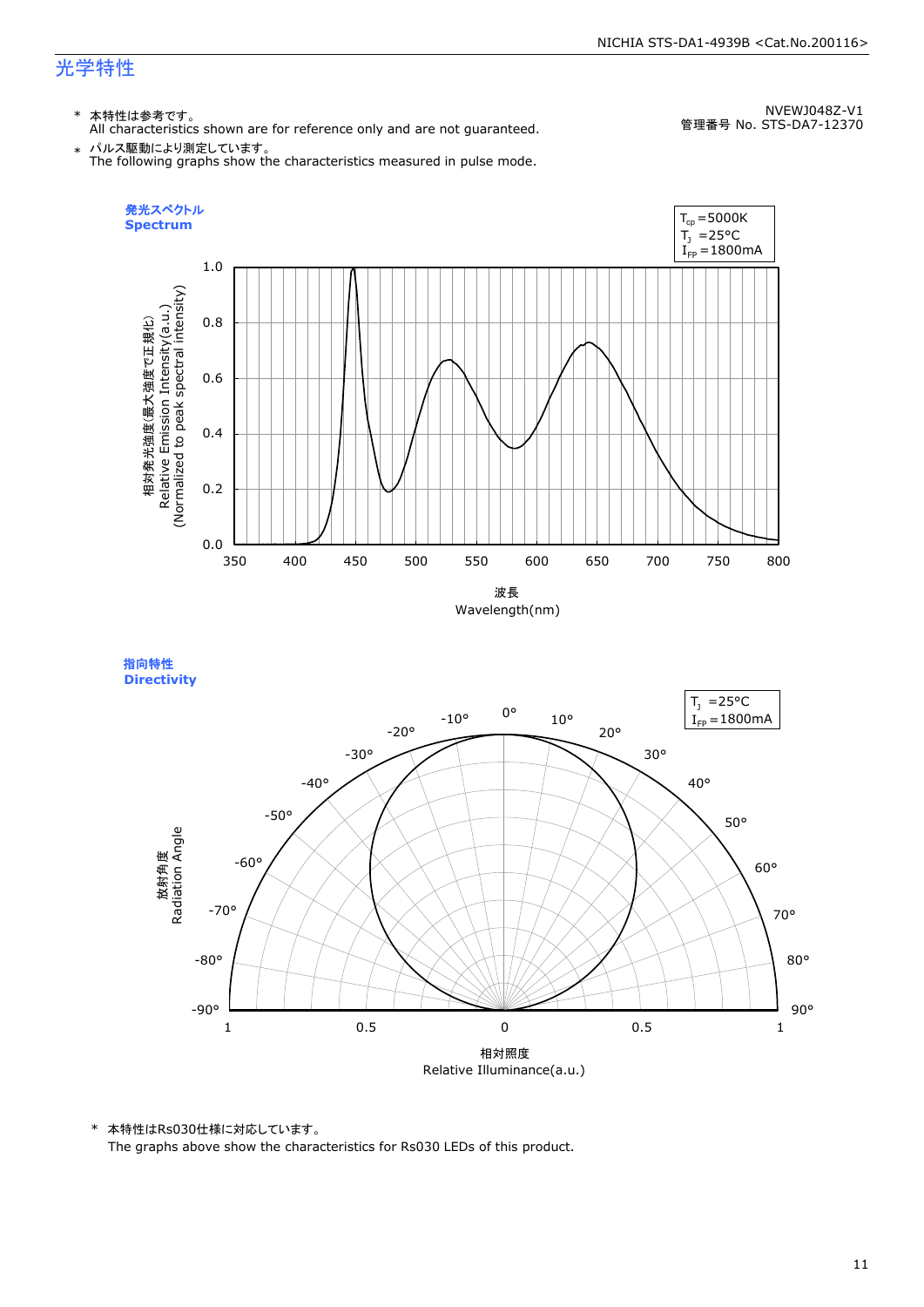#### NICHIA STS-DA1-4939B <Cat.No.200116>

### 光学特性

### \* 本特性は参考です。

All characteristics shown are for reference only and are not guaranteed.

NVEWJ048Z-V1 管理番号 No. STS-DA7-12370

 $\;\ast\;$  パルス駆動により測定しています。<br>The following graphs show the characteristics measured in pulse mode.



指向特性 **Directivity** 



\* 本特性はRs030仕様に対応しています。

The graphs above show the characteristics for Rs030 LEDs of this product.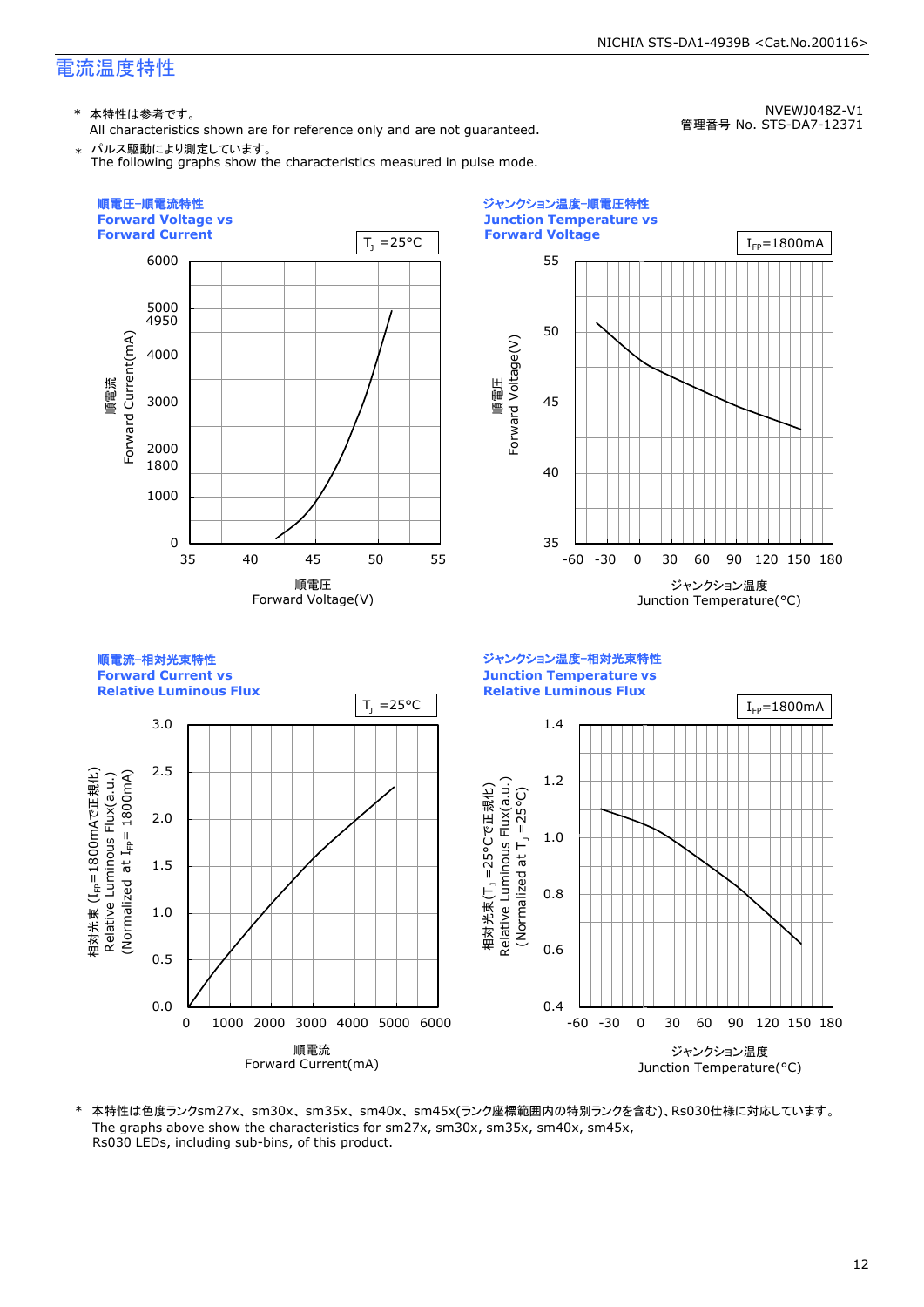\* 本特性は参考です。

All characteristics shown are for reference only and are not guaranteed. \* パルス駆動により測定しています。

NVEWJ048Z-V1 管理番号 No. STS-DA7-12371

NICHIA STS-DA1-4939B <Cat.No.200116>

The following graphs show the characteristics measured in pulse mode.



\* 本特性は色度ランクsm27x、sm30x、sm35x、sm40x、sm45x(ランク座標範囲内の特別ランクを含む)、Rs030仕様に対応しています。 The graphs above show the characteristics for sm27x, sm30x, sm35x, sm40x, sm45x, Rs030 LEDs, including sub-bins, of this product.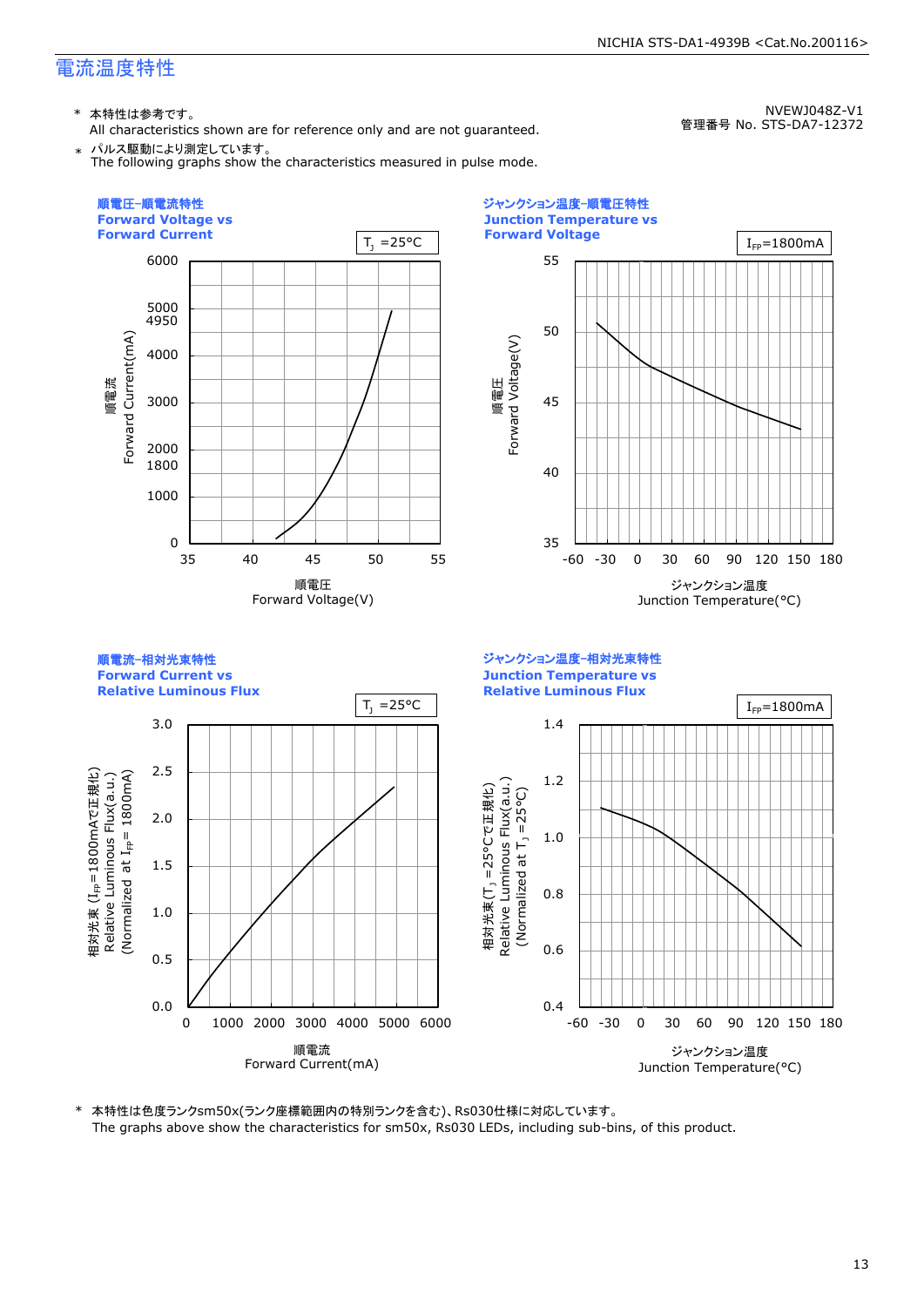\* 本特性は参考です。

All characteristics shown are for reference only and are not guaranteed.

NVEWJ048Z-V1 管理番号 No. STS-DA7-12372

NICHIA STS-DA1-4939B <Cat.No.200116>

\* パルス駆動により測定しています。 The following graphs show the characteristics measured in pulse mode.





ジャンクション温度-相対光束特性 **Junction Temperature vs Relative Luminous Flux Relative Luminous Flux**  $T_1 = 25^{\circ}C$  |  $I_{\text{FP}} = 1800 \text{ mA}$ 3.0 1.4 2.5 1800mAでH<sub>3</sub> (Normalized  $1_{\text{fp}}$  = 1800mA) 1.2 Relative Luminous Flux(a.u.) Relative Luminous Flux(a.u.) Relative Luminous Flux(a.u.) 相対光束(T<sub>」</sub>=25°Cで正規化) 相対光束(T<sub>.)</sub> =25°Cで正規化) (Normalized at  $T_1 = 25^{\circ}$ C) (Normalized at  $T_1$  =25°C) 2.0 1.0 (I<sub>FP</sub>=1800m<br>| Luminous |<br>|zed at I<sub>FP</sub>= 1.5 0.8 1.0 相対光束<br>Dalativ 0.6 0.5 0.0 0.4 0 1000 2000 3000 4000 5000 6000 -60 -30 0 30 60 90 120 150 180 順電流 ジャンクション温度 Forward Current(mA) Junction Temperature(°C)

\* 本特性は色度ランクsm50x(ランク座標範囲内の特別ランクを含む)、Rs030仕様に対応しています。 The graphs above show the characteristics for sm50x, Rs030 LEDs, including sub-bins, of this product.

#### 13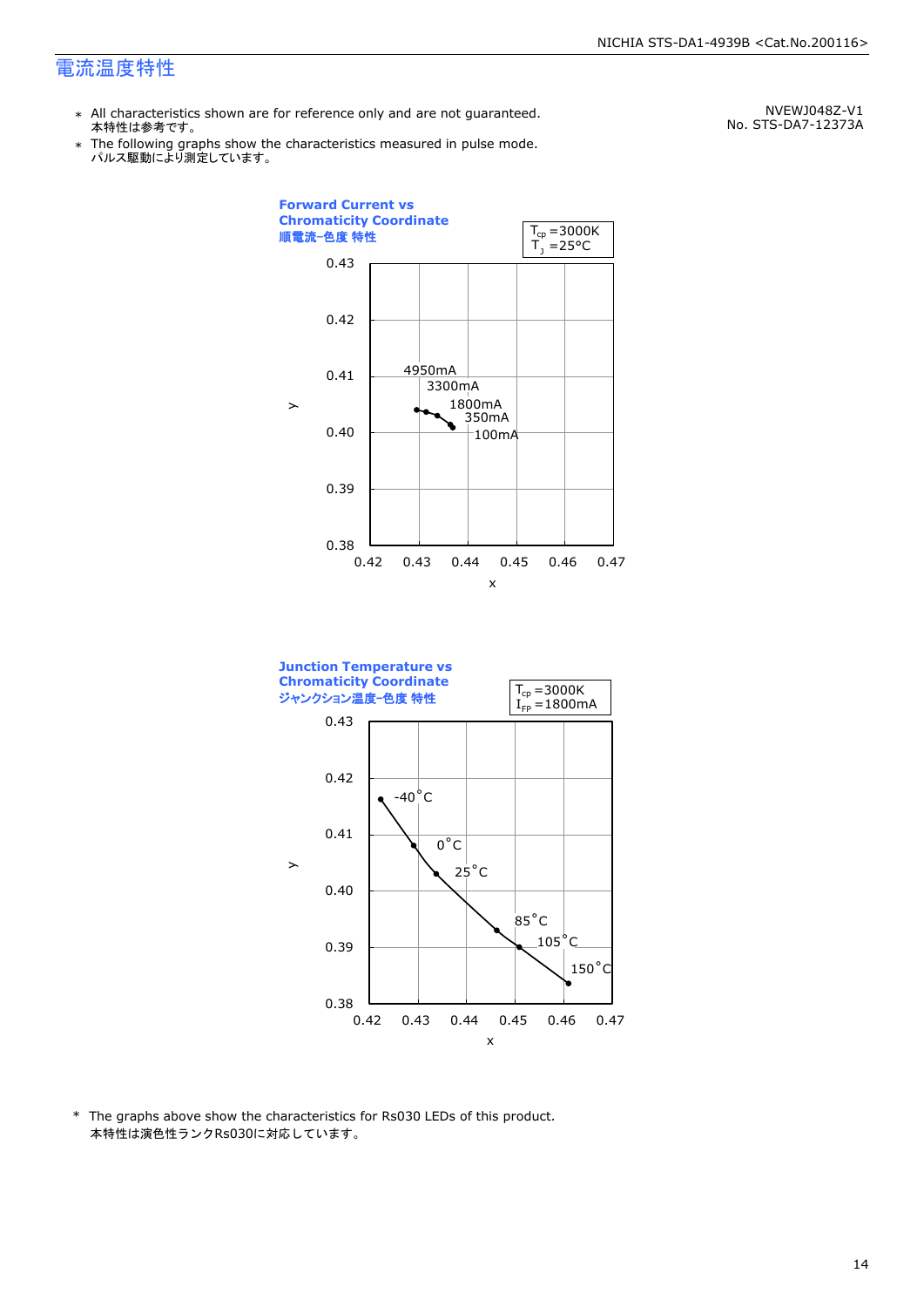\* All characteristics shown are for reference only and are not guaranteed. 本特性は参考です。

\* Ine following graphs show th<br>、パルス駆動により測定しています。 The following graphs show the characteristics measured in pulse mode.

NVEWJ048Z-V1 No. STS-DA7-12373A





\* The graphs above show the characteristics for Rs030 LEDs of this product. 本特性は演色性ランクRs030に対応しています。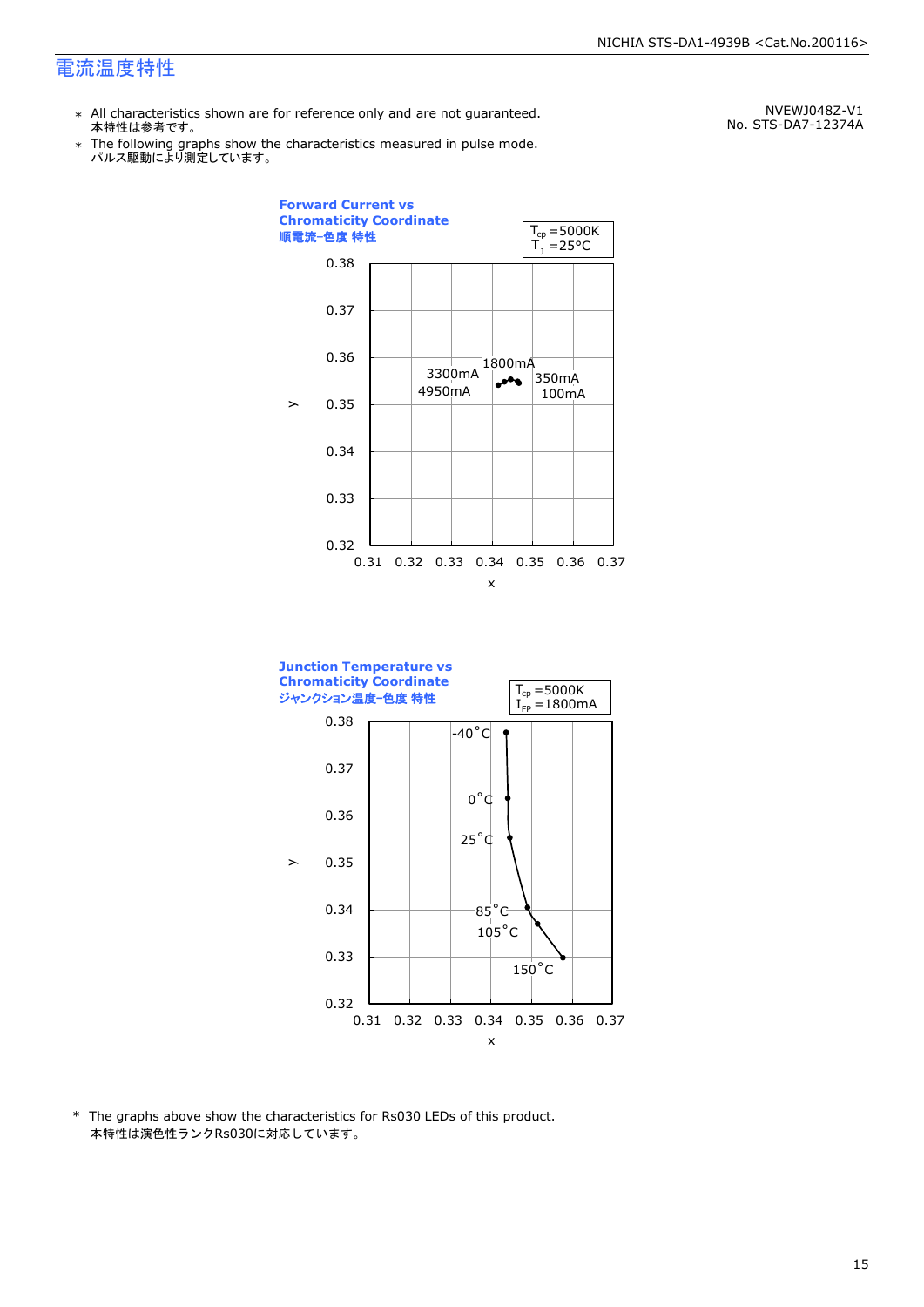- \* All characteristics shown are for reference only and are not guaranteed. 本特性は参考です。
- \* Ine following graphs show th<br>、パルス駆動により測定しています。 The following graphs show the characteristics measured in pulse mode.

NVEWJ048Z-V1 No. STS-DA7-12374A





\* The graphs above show the characteristics for Rs030 LEDs of this product. 本特性は演色性ランクRs030に対応しています。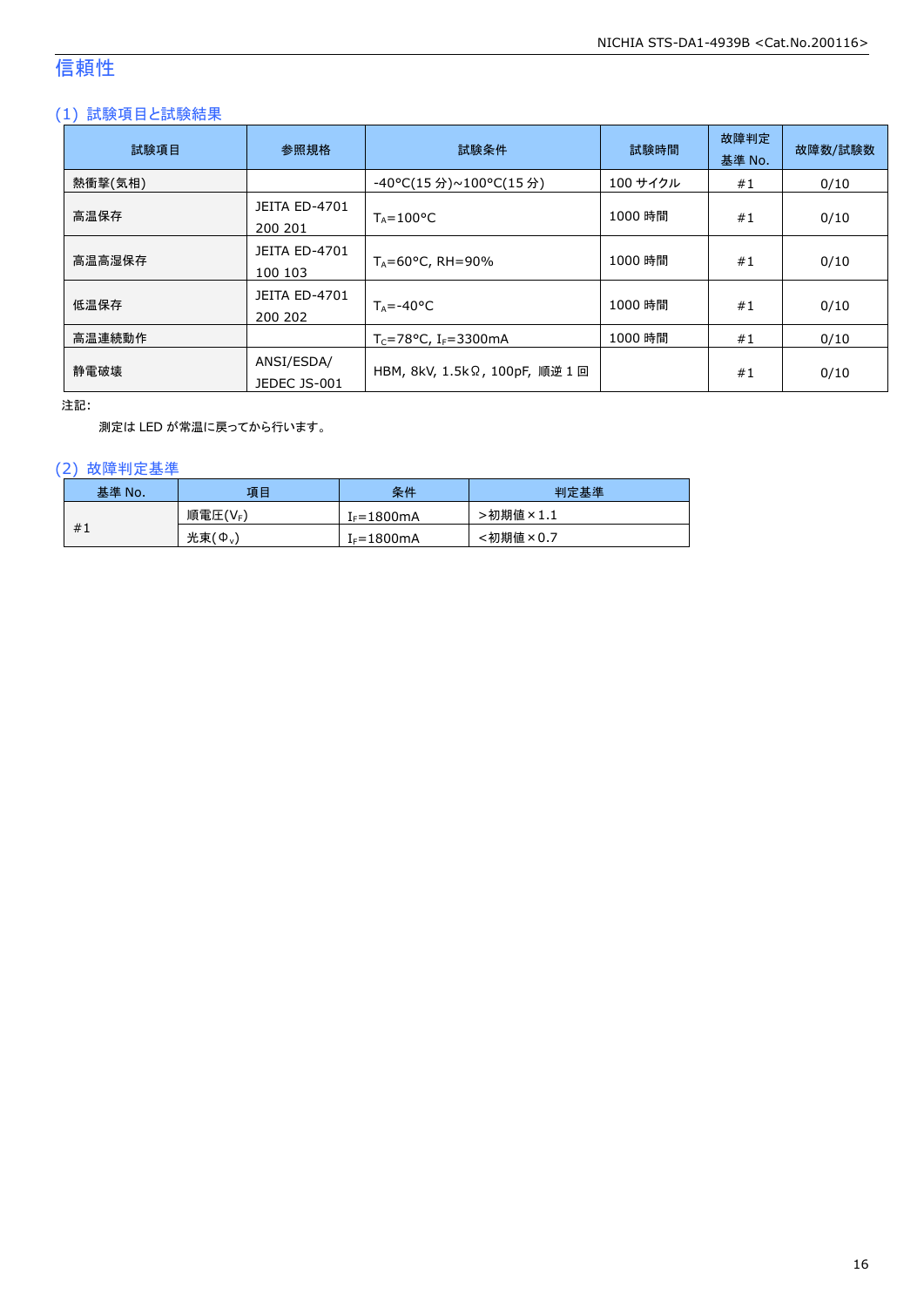### 信頼性

### (1) 試験項目と試験結果

| 試験項目    | 参照規格                            | 試験条件                                  | 試験時間     | 故障判定<br>基準 No. | 故障数/試験数 |
|---------|---------------------------------|---------------------------------------|----------|----------------|---------|
| 熱衝撃(気相) |                                 | -40°C(15 分)~100°C(15 分)               | 100 サイクル | #1             | 0/10    |
| 高温保存    | <b>JEITA ED-4701</b><br>200 201 | $T_A = 100^{\circ}C$                  | 1000 時間  | #1             | 0/10    |
| 高温高湿保存  | <b>JEITA ED-4701</b><br>100 103 | $T_A = 60^{\circ}$ C, RH = 90%        | 1000 時間  | #1             | 0/10    |
| 低温保存    | JEITA ED-4701<br>200 202        | $T_{\text{A}} = -40^{\circ}C$         | 1000 時間  | #1             | 0/10    |
| 高温連続動作  |                                 | $T_c = 78$ °C, I <sub>F</sub> =3300mA | 1000 時間  | #1             | 0/10    |
| 静電破壊    | ANSI/ESDA/<br>JEDEC JS-001      | HBM, 8kV, 1.5kΩ, 100pF, 順逆 1回         |          | #1             | 0/10    |

注記:

測定は LED が常温に戻ってから行います。

### (2) 故障判定基準

| 基準 No. | 項目              | 条件                     | 判定基準     |
|--------|-----------------|------------------------|----------|
|        | 順電圧(VF)         | I <sub>F</sub> =1800mA | ·初期値×1.1 |
| #1     | 光束 $(\Phi_{v})$ | $I_F = 1800mA$         | :初期値×0.7 |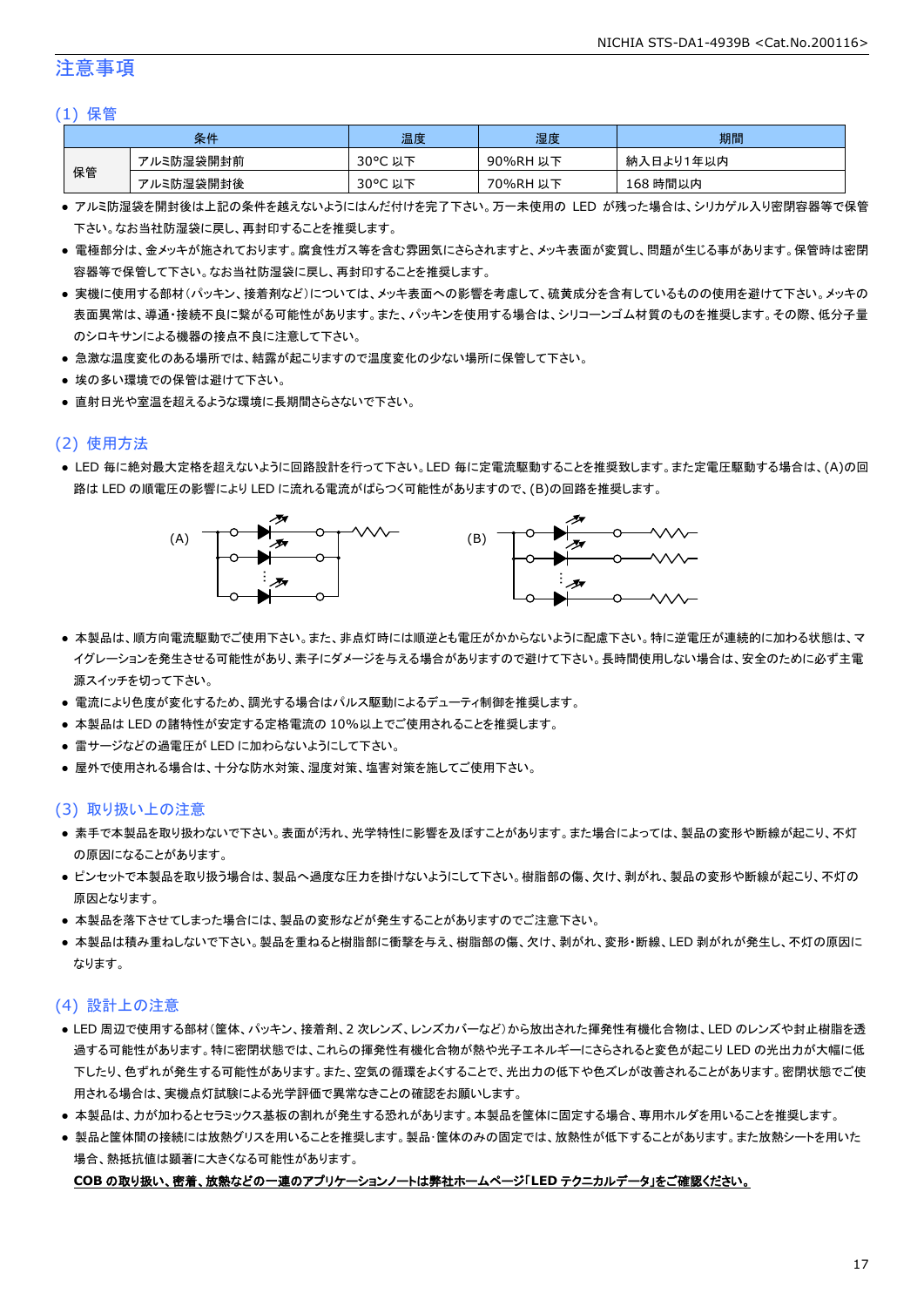### 注意事項

#### (1) 保管

| 条件 |           | 温度         | 湿度       | 期間        |
|----|-----------|------------|----------|-----------|
|    | アルミ防湿袋開封前 | 30°C<br>以下 | 90%RH 以下 | 納入日より1年以内 |
| 保管 | アルミ防湿袋開封後 | 30°C 以下    | 70%RH 以下 | 168 時間以内  |

- アルミ防湿袋を開封後は上記の条件を越えないようにはんだ付けを完了下さい。万一未使用の LED が残った場合は、シリカゲル入り密閉容器等で保管 下さい。なお当社防湿袋に戻し、再封印することを推奨します。
- 電極部分は、金メッキが施されております。腐食性ガス等を含む雰囲気にさらされますと、メッキ表面が変質し、問題が生じる事があります。保管時は密閉 容器等で保管して下さい。なお当社防湿袋に戻し、再封印することを推奨します。
- 実機に使用する部材(パッキン、接着剤など)については、メッキ表面への影響を考慮して、硫黄成分を含有しているものの使用を避けて下さい。メッキの 表面異常は、導通・接続不良に繋がる可能性があります。また、パッキンを使用する場合は、シリコーンゴム材質のものを推奨します。その際、低分子量 のシロキサンによる機器の接点不良に注意して下さい。
- 急激な温度変化のある場所では、結露が起こりますので温度変化の少ない場所に保管して下さい。
- 埃の多い環境での保管は避けて下さい。
- 直射日光や室温を超えるような環境に長期間さらさないで下さい。

### (2) 使用方法

● LED 毎に絶対最大定格を超えないように回路設計を行って下さい。LED 毎に定電流駆動することを推奨致します。また定電圧駆動する場合は、(A)の回 路は LED の順電圧の影響により LED に流れる電流がばらつく可能性がありますので、(B)の回路を推奨します。



- 本製品は、順方向電流駆動でご使用下さい。また、非点灯時には順逆とも電圧がかからないように配慮下さい。特に逆電圧が連続的に加わる状態は、マ イグレーションを発生させる可能性があり、素子にダメージを与える場合がありますので避けて下さい。長時間使用しない場合は、安全のために必ず主電 源スイッチを切って下さい。
- 電流により色度が変化するため、調光する場合はパルス駆動によるデューティ制御を推奨します。
- 本製品は LED の諸特性が安定する定格電流の 10%以上でご使用されることを推奨します。
- 雷サージなどの過電圧が LED に加わらないようにして下さい。
- 屋外で使用される場合は、十分な防水対策、湿度対策、塩害対策を施してご使用下さい。

#### (3) 取り扱い上の注意

- 素手で本製品を取り扱わないで下さい。表面が汚れ、光学特性に影響を及ぼすことがあります。また場合によっては、製品の変形や断線が起こり、不灯 の原因になることがあります。
- ピンセットで本製品を取り扱う場合は、製品へ過度な圧力を掛けないようにして下さい。樹脂部の傷、欠け、剥がれ、製品の変形や断線が起こり、不灯の 原因となります。
- 本製品を落下させてしまった場合には、製品の変形などが発生することがありますのでご注意下さい。
- 本製品は積み重ねしないで下さい。製品を重ねると樹脂部に衝撃を与え、樹脂部の傷、欠け、剥がれ、変形・断線、LED 剥がれが発生し、不灯の原因に なります。

#### (4) 設計上の注意

- LED 周辺で使用する部材(筐体、パッキン、接着剤、2 次レンズ、レンズカバーなど)から放出された揮発性有機化合物は、LED のレンズや封止樹脂を透 過する可能性があります。特に密閉状態では、これらの揮発性有機化合物が熱や光子エネルギーにさらされると変色が起こり LED の光出力が大幅に低 下したり、色ずれが発生する可能性があります。また、空気の循環をよくすることで、光出力の低下や色ズレが改善されることがあります。密閉状態でご使 用される場合は、実機点灯試験による光学評価で異常なきことの確認をお願いします。
- 本製品は、カが加わるとセラミックス基板の割れが発生する恐れがあります。本製品を筐体に固定する場合、専用ホルダを用いることを推奨します。
- 製品と筐体間の接続には放熱グリスを用いることを推奨します。製品・筐体のみの固定では、放熱性が低下することがあります。また放熱シートを用いた 場合、熱抵抗値は顕著に大きくなる可能性があります。

#### **COB** の取り扱い、密着、放熱などの一連のアプリケーションノートは弊社ホームページ「**LED** テクニカルデータ」をご確認ください。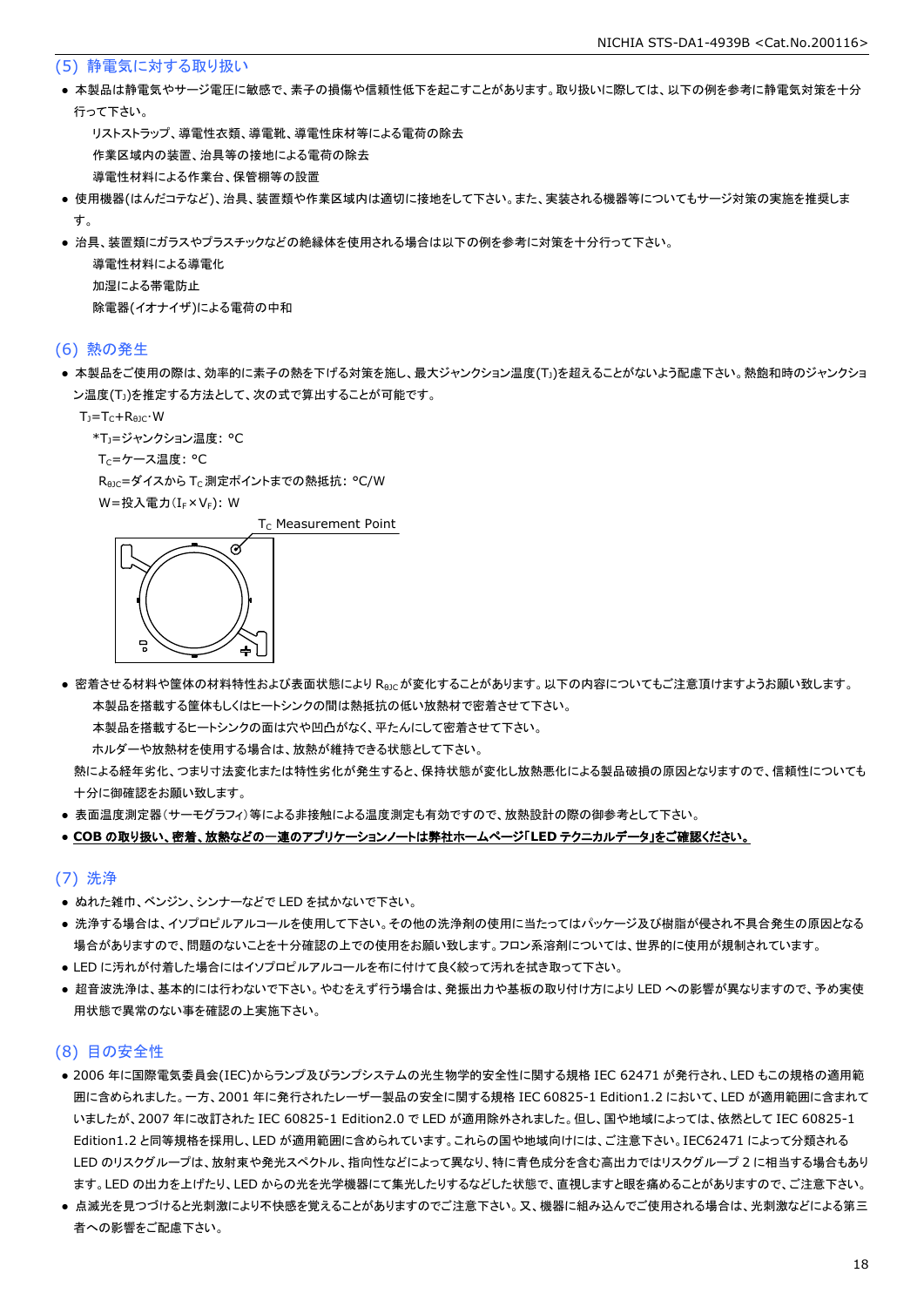#### (5) 静電気に対する取り扱い

● 本製品は静電気やサージ電圧に敏感で、素子の損傷や信頼性低下を起こすことがあります。取り扱いに際しては、以下の例を参考に静電気対策を十分 行って下さい。

 リストストラップ、導電性衣類、導電靴、導電性床材等による電荷の除去 作業区域内の装置、治具等の接地による電荷の除去 導電性材料による作業台、保管棚等の設置

- 使用機器(はんだコテなど)、治具、装置類や作業区域内は適切に接地をして下さい。また、実装される機器等についてもサージ対策の実施を推奨しま す。
- 治具、装置類にガラスやプラスチックなどの絶縁体を使用される場合は以下の例を参考に対策を十分行って下さい。

 導電性材料による導電化 加湿による帯電防止 除電器(イオナイザ)による電荷の中和

#### (6) 熱の発生

● 本製品をご使用の際は、効率的に素子の熱を下げる対策を施し、最大ジャンクション温度(T」)を超えることがないよう配慮下さい。熱飽和時のジャンクショ ン温度(T」)を推定する方法として、次の式で算出することが可能です。

 $T_1 = T_C + R_{B1C} \cdot W$ 

\*T<sub>1</sub>=ジャンクション温度: °C

Tc=ケース温度: °C

R<sub>0JC</sub>=ダイスから T<sub>C</sub> 測定ポイントまでの熱抵抗: °C/W

W=投入電力(I<sub>F</sub>×V<sub>F</sub>): W

 $T_c$  Measurement Point



● 密着させる材料や筐体の材料特性および表面状態により Reicが変化することがあります。以下の内容についてもご注意頂けますようお願い致します。 本製品を搭載する筐体もしくはヒートシンクの間は熱抵抗の低い放熱材で密着させて下さい。

本製品を搭載するヒートシンクの面は穴や凹凸がなく、平たんにして密着させて下さい。

ホルダーや放熱材を使用する場合は、放熱が維持できる状態として下さい。

 熱による経年劣化、つまり寸法変化または特性劣化が発生すると、保持状態が変化し放熱悪化による製品破損の原因となりますので、信頼性についても 十分に御確認をお願い致します。

● 表面温度測定器(サーモグラフィ)等による非接触による温度測定も有効ですので、放熱設計の際の御参考として下さい。

#### ● **COB** の取り扱い、密着、放熱などの一連のアプリケーションノートは弊社ホームページ「**LED** テクニカルデータ」をご確認ください。

#### (7) 洗浄

- ぬれた雑巾、ベンジン、シンナーなどで LED を拭かないで下さい。
- 洗浄する場合は、イソプロピルアルコールを使用して下さい。その他の洗浄剤の使用に当たってはパッケージ及び樹脂が侵され不具合発生の原因となる 場合がありますので、問題のないことを十分確認の上での使用をお願い致します。フロン系溶剤については、世界的に使用が規制されています。
- LED に汚れが付着した場合にはイソプロピルアルコールを布に付けて良く絞って汚れを拭き取って下さい。
- 超音波洗浄は、基本的には行わないで下さい。やむをえず行う場合は、発振出力や基板の取り付け方により LED への影響が異なりますので、予め実使 用状態で異常のない事を確認の上実施下さい。

### (8) 目の安全性

- 2006 年に国際電気委員会(IEC)からランプ及びランプシステムの光生物学的安全性に関する規格 IEC 62471 が発行され、LED もこの規格の適用範 囲に含められました。一方、2001 年に発行されたレーザー製品の安全に関する規格 IEC 60825-1 Edition1.2 において、LED が適用範囲に含まれて いましたが、2007 年に改訂された IEC 60825-1 Edition2.0 で LED が適用除外されました。但し、国や地域によっては、依然として IEC 60825-1 Edition1.2 と同等規格を採用し、LED が適用範囲に含められています。これらの国や地域向けには、ご注意下さい。IEC62471 によって分類される LED のリスクグループは、放射束や発光スペクトル、指向性などによって異なり、特に青色成分を含む高出力ではリスクグループ 2 に相当する場合もあり ます。LED の出力を上げたり、LED からの光を光学機器にて集光したりするなどした状態で、直視しますと眼を痛めることがありますので、ご注意下さい。
- 点滅光を見つづけると光刺激により不快感を覚えることがありますのでご注意下さい。又、機器に組み込んでご使用される場合は、光刺激などによる第三 者への影響をご配慮下さい。